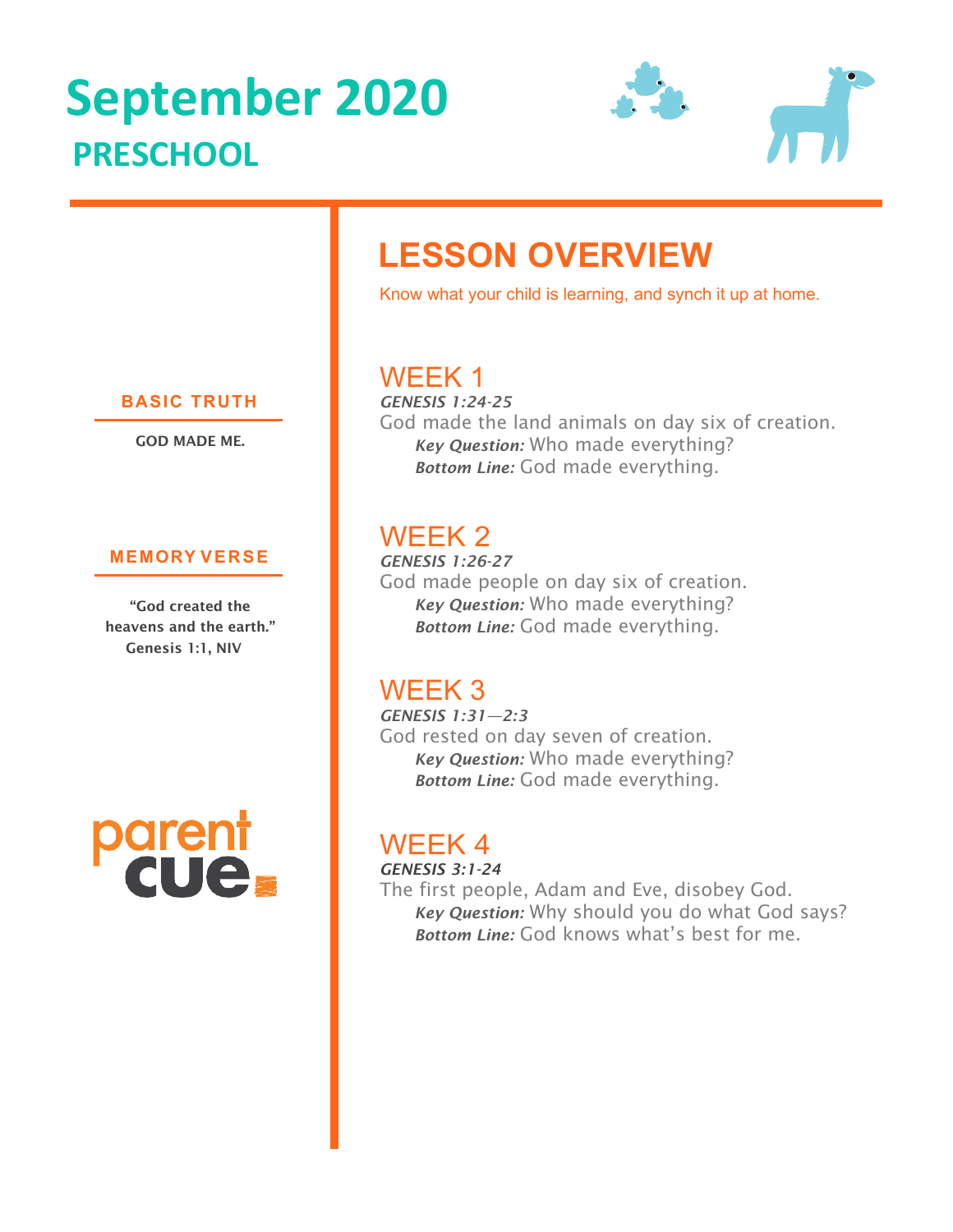# **September 2020 PRESCHOOL**



## **LESSON OVERVIEW**

Know what your child is learning, and synch it up at home.

## WEEK 1

*GENESIS 1:24-25*  God made the land animals on day six of creation. *Key Question:* Who made everything? *Bottom Line:* God made everything.

## WEEK 2

*GENESIS 1:26-27* God made people on day six of creation. *Key Question:* Who made everything? *Bottom Line:* God made everything.

## WEEK 3

*GENESIS 1:31—2:3* God rested on day seven of creation. *Key Question:* Who made everything? *Bottom Line:* God made everything.

## WEEK 4

*GENESIS 3:1-24* The first people, Adam and Eve, disobey God. *Key Question:* Why should you do what God says? *Bottom Line:* God knows what's best for me.

#### **BASIC TRUTH**

GOD MADE ME.

#### **MEMORY VERSE**

"God created the heavens and the earth." Genesis 1:1, NIV